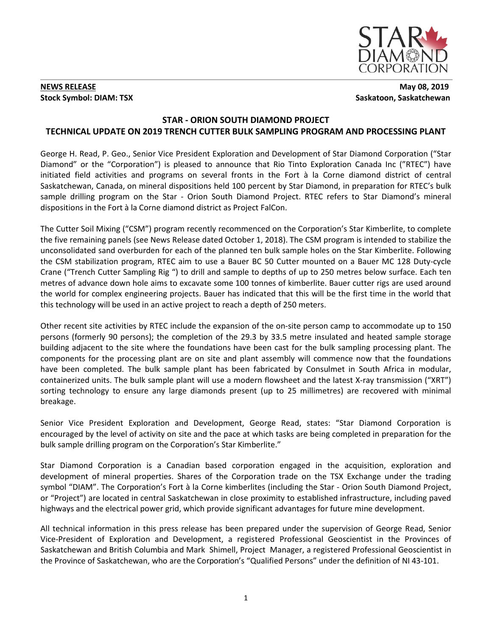

## **NEWS RELEASE** May 08, 2019 **Stock Symbol: DIAM: TSX** Saskatoon, Saskatchewan

# **STAR - ORION SOUTH DIAMOND PROJECT TECHNICAL UPDATE ON 2019 TRENCH CUTTER BULK SAMPLING PROGRAM AND PROCESSING PLANT**

George H. Read, P. Geo., Senior Vice President Exploration and Development of Star Diamond Corporation ("Star Diamond" or the "Corporation") is pleased to announce that Rio Tinto Exploration Canada Inc ("RTEC") have initiated field activities and programs on several fronts in the Fort à la Corne diamond district of central Saskatchewan, Canada, on mineral dispositions held 100 percent by Star Diamond, in preparation for RTEC's bulk sample drilling program on the Star - Orion South Diamond Project. RTEC refers to Star Diamond's mineral dispositions in the Fort à la Corne diamond district as Project FalCon.

The Cutter Soil Mixing ("CSM") program recently recommenced on the Corporation's Star Kimberlite, to complete the five remaining panels (see News Release dated October 1, 2018). The CSM program is intended to stabilize the unconsolidated sand overburden for each of the planned ten bulk sample holes on the Star Kimberlite. Following the CSM stabilization program, RTEC aim to use a Bauer BC 50 Cutter mounted on a Bauer MC 128 Duty-cycle Crane ("Trench Cutter Sampling Rig ") to drill and sample to depths of up to 250 metres below surface. Each ten metres of advance down hole aims to excavate some 100 tonnes of kimberlite. Bauer cutter rigs are used around the world for complex engineering projects. Bauer has indicated that this will be the first time in the world that this technology will be used in an active project to reach a depth of 250 meters.

Other recent site activities by RTEC include the expansion of the on-site person camp to accommodate up to 150 persons (formerly 90 persons); the completion of the 29.3 by 33.5 metre insulated and heated sample storage building adjacent to the site where the foundations have been cast for the bulk sampling processing plant. The components for the processing plant are on site and plant assembly will commence now that the foundations have been completed. The bulk sample plant has been fabricated by Consulmet in South Africa in modular, containerized units. The bulk sample plant will use a modern flowsheet and the latest X-ray transmission ("XRT") sorting technology to ensure any large diamonds present (up to 25 millimetres) are recovered with minimal breakage.

Senior Vice President Exploration and Development, George Read, states: "Star Diamond Corporation is encouraged by the level of activity on site and the pace at which tasks are being completed in preparation for the bulk sample drilling program on the Corporation's Star Kimberlite."

Star Diamond Corporation is a Canadian based corporation engaged in the acquisition, exploration and development of mineral properties. Shares of the Corporation trade on the TSX Exchange under the trading symbol "DIAM". The Corporation's Fort à la Corne kimberlites (including the Star - Orion South Diamond Project, or "Project") are located in central Saskatchewan in close proximity to established infrastructure, including paved highways and the electrical power grid, which provide significant advantages for future mine development.

All technical information in this press release has been prepared under the supervision of George Read, Senior Vice-President of Exploration and Development, a registered Professional Geoscientist in the Provinces of Saskatchewan and British Columbia and Mark Shimell, Project Manager, a registered Professional Geoscientist in the Province of Saskatchewan, who are the Corporation's "Qualified Persons" under the definition of NI 43-101.